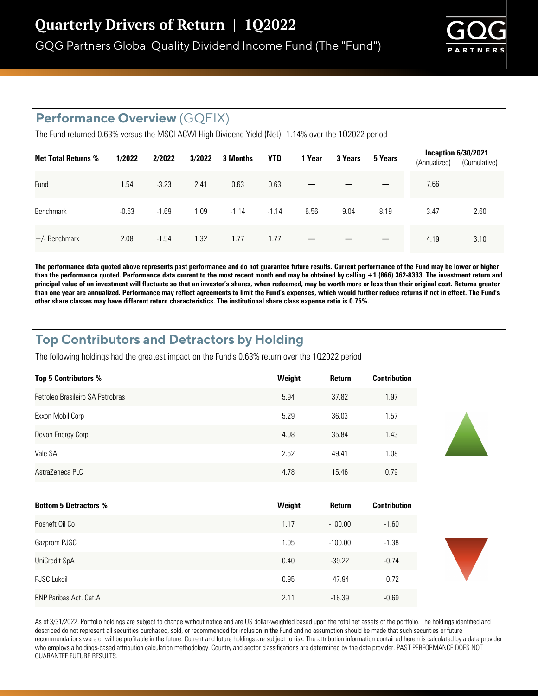GQG Partners Global Quality Dividend Income Fund (The "Fund")



## **Performance Overview** (GQFIX)

The Fund returned 0.63% versus the MSCI ACWI High Dividend Yield (Net) -1.14% over the 102022 period

| <b>Net Total Returns %</b> | 1/2022  | 2/2022  | 3/2022 | 3 Months | <b>YTD</b> | 1 Year | 3 Years | 5 Years | (Annualized) | <b>Inception 6/30/2021</b><br>(Cumulative) |
|----------------------------|---------|---------|--------|----------|------------|--------|---------|---------|--------------|--------------------------------------------|
| Fund                       | 1.54    | $-3.23$ | 2.41   | 0.63     | 0.63       |        |         |         | 7.66         |                                            |
| Benchmark                  | $-0.53$ | $-1.69$ | 1.09   | $-1.14$  | $-1.14$    | 6.56   | 9.04    | 8.19    | 3.47         | 2.60                                       |
| $+/-$ Benchmark            | 2.08    | $-1.54$ | 1.32   | 1.77     | 1.77       |        |         |         | 4.19         | 3.10                                       |

**The performance data quoted above represents past performance and do not guarantee future results. Current performance of the Fund may be lower or higher than the performance quoted. Performance data current to the most recent month end may be obtained by calling +1 (866) 362-8333. The investment return and principal value of an investment will fluctuate so that an investor's shares, when redeemed, may be worth more or less than their original cost. Returns greater than one year are annualized. Performance may reflect agreements to limit the Fund's expenses, which would further reduce returns if not in effect. The Fund's**  other share classes may have different return characteristics. The institutional share class expense ratio is 0.75%.

## **Top Contributors and Detractors by Holding**

The following holdings had the greatest impact on the Fund's 0.63% return over the 102022 period

| <b>Top 5 Contributors %</b>      | Weight | Return | <b>Contribution</b> |
|----------------------------------|--------|--------|---------------------|
| Petroleo Brasileiro SA Petrobras | 5.94   | 37.82  | 1.97                |
| Exxon Mobil Corp                 | 5.29   | 36.03  | 1.57                |
| Devon Energy Corp                | 4.08   | 35.84  | 1.43                |
| Vale SA                          | 2.52   | 49.41  | 1.08                |
| AstraZeneca PLC                  | 4.78   | 15.46  | 0.79                |

| <b>Bottom 5 Detractors %</b>  | Weight | Return    | <b>Contribution</b> |
|-------------------------------|--------|-----------|---------------------|
| Rosneft Oil Co                | 1.17   | $-100.00$ | $-1.60$             |
| Gazprom PJSC                  | 1.05   | $-100.00$ | $-1.38$             |
| UniCredit SpA                 | 0.40   | $-39.22$  | $-0.74$             |
| <b>PJSC Lukoil</b>            | 0.95   | $-47.94$  | $-0.72$             |
| <b>BNP Paribas Act. Cat.A</b> | 2.11   | $-16.39$  | $-0.69$             |

As of 3/31/2022. Portfolio holdings are subject to change without notice and are US dollar-weighted based upon the total net assets of the portfolio. The holdings identified and described do not represent all securities purchased, sold, or recommended for inclusion in the Fund and no assumption should be made that such securities or future recommendations were or will be profitable in the future. Current and future holdings are subject to risk. The attribution information contained herein is calculated by a data provider who employs a holdings-based attribution calculation methodology. Country and sector classifications are determined by the data provider. PAST PERFORMANCE DOES NOT GUARANTEE FUTURE RESULTS.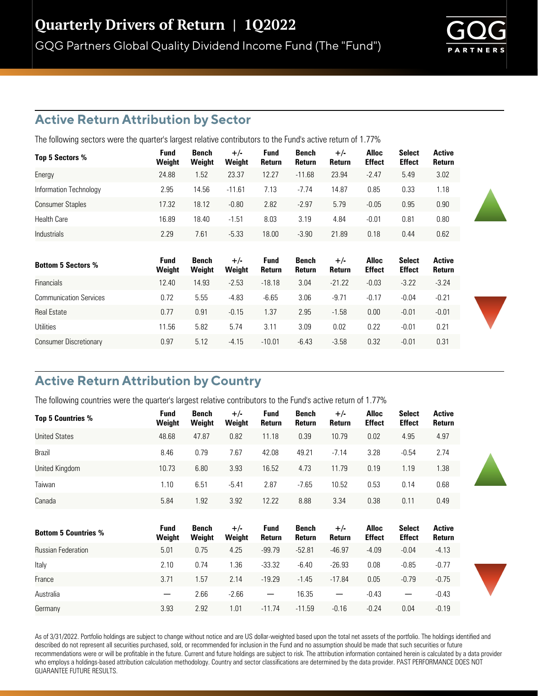## **Active Return Attribution by Sector**

The following sectors were the quarter's largest relative contributors to the Fund's active return of 1.77%

| Top 5 Sectors %         | <b>Fund</b><br>Weight | Bench<br>Weight | $+/-$<br>Weight | <b>Fund</b><br>Return | Bench<br>Return | $+/-$<br>Return | Alloc<br><b>Effect</b> | <b>Select</b><br><b>Effect</b> | <b>Active</b><br><b>Return</b> |
|-------------------------|-----------------------|-----------------|-----------------|-----------------------|-----------------|-----------------|------------------------|--------------------------------|--------------------------------|
| Energy                  | 24.88                 | 1.52            | 23.37           | 12.27                 | $-11.68$        | 23.94           | $-2.47$                | 5.49                           | 3.02                           |
| Information Technology  | 2.95                  | 14.56           | $-11.61$        | 7.13                  | $-7.74$         | 14.87           | 0.85                   | 0.33                           | 1.18                           |
| <b>Consumer Staples</b> | 17.32                 | 18.12           | $-0.80$         | 2.82                  | $-2.97$         | 5.79            | $-0.05$                | 0.95                           | 0.90                           |
| <b>Health Care</b>      | 16.89                 | 18.40           | $-1.51$         | 8.03                  | 3.19            | 4.84            | $-0.01$                | 0.81                           | 0.80                           |
| Industrials             | 2.29                  | 7.61            | $-5.33$         | 18.00                 | $-3.90$         | 21.89           | 0.18                   | 0.44                           | 0.62                           |

| <b>Bottom 5 Sectors %</b>     | Fund<br>Weight | Bench<br>Weight | $+/-$<br>Weight | Fund<br>Return | Bench<br>Return | $+/-$<br>Return | Alloc<br><b>Effect</b> | <b>Select</b><br><b>Effect</b> | Active<br><b>Return</b> |
|-------------------------------|----------------|-----------------|-----------------|----------------|-----------------|-----------------|------------------------|--------------------------------|-------------------------|
| <b>Financials</b>             | 12.40          | 14.93           | $-2.53$         | $-18.18$       | 3.04            | $-21.22$        | $-0.03$                | $-3.22$                        | $-3.24$                 |
| <b>Communication Services</b> | 0.72           | 5.55            | $-4.83$         | $-6.65$        | 3.06            | $-9.71$         | $-0.17$                | $-0.04$                        | $-0.21$                 |
| <b>Real Estate</b>            | 0.77           | 0.91            | $-0.15$         | 1.37           | 2.95            | $-1.58$         | 0.00                   | $-0.01$                        | $-0.01$                 |
| Utilities                     | 11.56          | 5.82            | 5.74            | 3.11           | 3.09            | 0.02            | 0.22                   | $-0.01$                        | 0.21                    |
| <b>Consumer Discretionary</b> | 0.97           | 5.12            | $-4.15$         | $-10.01$       | $-6.43$         | $-3.58$         | 0.32                   | $-0.01$                        | 0.31                    |

# **Active Return Attribution by Country**

The following countries were the quarter's largest relative contributors to the Fund's active return of 1.77%

| <b>Top 5 Countries %</b>    | Fund<br>Weight           | Bench<br>Weight        | $+/-$<br>Weight | <b>Fund</b><br>Return    | <b>Bench</b><br>Return | $+/-$<br>Return | <b>Alloc</b><br><b>Effect</b> | <b>Select</b><br><b>Effect</b> | <b>Active</b><br><b>Return</b> |
|-----------------------------|--------------------------|------------------------|-----------------|--------------------------|------------------------|-----------------|-------------------------------|--------------------------------|--------------------------------|
| <b>United States</b>        | 48.68                    | 47.87                  | 0.82            | 11.18                    | 0.39                   | 10.79           | 0.02                          | 4.95                           | 4.97                           |
| <b>Brazil</b>               | 8.46                     | 0.79                   | 7.67            | 42.08                    | 49.21                  | $-7.14$         | 3.28                          | $-0.54$                        | 2.74                           |
| United Kingdom              | 10.73                    | 6.80                   | 3.93            | 16.52                    | 4.73                   | 11.79           | 0.19                          | 1.19                           | 1.38                           |
| Taiwan                      | 1.10                     | 6.51                   | $-5.41$         | 2.87                     | $-7.65$                | 10.52           | 0.53                          | 0.14                           | 0.68                           |
| Canada                      | 5.84                     | 1.92                   | 3.92            | 12.22                    | 8.88                   | 3.34            | 0.38                          | 0.11                           | 0.49                           |
|                             |                          |                        |                 |                          |                        |                 |                               |                                |                                |
| <b>Bottom 5 Countries %</b> | Fund<br>Weight           | <b>Bench</b><br>Weight | $+/-$<br>Weight | <b>Fund</b><br>Return    | Bench<br>Return        | $+/-$<br>Return | <b>Alloc</b><br><b>Effect</b> | <b>Select</b><br><b>Effect</b> | <b>Active</b><br>Return        |
| <b>Russian Federation</b>   | 5.01                     | 0.75                   | 4.25            | $-99.79$                 | $-52.81$               | $-46.97$        | $-4.09$                       | $-0.04$                        | $-4.13$                        |
| Italy                       | 2.10                     | 0.74                   | 1.36            | $-33.32$                 | $-6.40$                | $-26.93$        | 0.08                          | $-0.85$                        | $-0.77$                        |
| France                      | 3.71                     | 1.57                   | 2.14            | $-19.29$                 | $-1.45$                | $-17.84$        | 0.05                          | $-0.79$                        | $-0.75$                        |
| Australia                   | $\overline{\phantom{m}}$ | 2.66                   | $-2.66$         | $\overline{\phantom{m}}$ | 16.35                  |                 | $-0.43$                       |                                | $-0.43$                        |
| Germany                     | 3.93                     | 2.92                   | 1.01            | $-11.74$                 | $-11.59$               | $-0.16$         | $-0.24$                       | 0.04                           | $-0.19$                        |

As of 3/31/2022. Portfolio holdings are subject to change without notice and are US dollar-weighted based upon the total net assets of the portfolio. The holdings identified and described do not represent all securities purchased, sold, or recommended for inclusion in the Fund and no assumption should be made that such securities or future recommendations were or will be profitable in the future. Current and future holdings are subject to risk. The attribution information contained herein is calculated by a data provider who employs a holdings-based attribution calculation methodology. Country and sector classifications are determined by the data provider. PAST PERFORMANCE DOES NOT GUARANTEE FUTURE RESULTS.